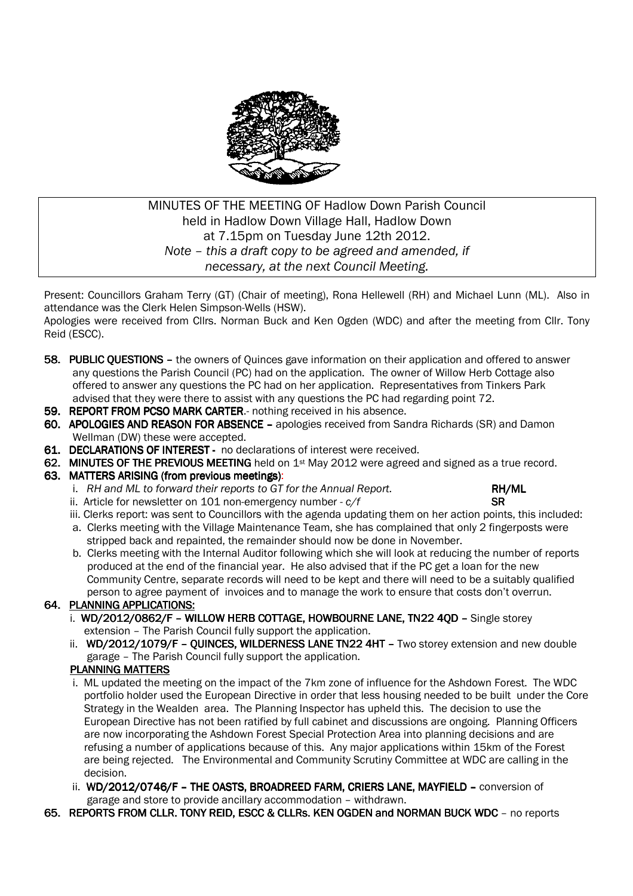

#### MINUTES OF THE MEETING OF Hadlow Down Parish Council held in Hadlow Down Village Hall, Hadlow Down at 7.15pm on Tuesday June 12th 2012. *Note – this a draft copy to be agreed and amended, if necessary, at the next Council Meeting.*

Present: Councillors Graham Terry (GT) (Chair of meeting), Rona Hellewell (RH) and Michael Lunn (ML). Also in attendance was the Clerk Helen Simpson-Wells (HSW).

Apologies were received from Cllrs. Norman Buck and Ken Ogden (WDC) and after the meeting from Cllr. Tony Reid (ESCC).

- 58. PUBLIC OUESTIONS the owners of Quinces gave information on their application and offered to answer any questions the Parish Council (PC) had on the application. The owner of Willow Herb Cottage also offered to answer any questions the PC had on her application. Representatives from Tinkers Park advised that they were there to assist with any questions the PC had regarding point 72.
- 59. REPORT FROM PCSO MARK CARTER.- nothing received in his absence.
- 60. APOLOGIES AND REASON FOR ABSENCE apologies received from Sandra Richards (SR) and Damon Wellman (DW) these were accepted.
- 61. DECLARATIONS OF INTEREST no declarations of interest were received.
- 62. MINUTES OF THE PREVIOUS MEETING held on  $1st$  May 2012 were agreed and signed as a true record.

#### 63. MATTERS ARISING (from previous meetings):

- i. RH and ML to forward their reports to GT for the Annual Report. **RH AND RH/ML**
- ii. Article for newsletter on  $101$  non-emergency number  $-c/f$  SR

- iii. Clerks report: was sent to Councillors with the agenda updating them on her action points, this included: a. Clerks meeting with the Village Maintenance Team, she has complained that only 2 fingerposts were stripped back and repainted, the remainder should now be done in November.
- b. Clerks meeting with the Internal Auditor following which she will look at reducing the number of reports produced at the end of the financial year. He also advised that if the PC get a loan for the new Community Centre, separate records will need to be kept and there will need to be a suitably qualified person to agree payment of invoices and to manage the work to ensure that costs don't overrun.

#### 64. PLANNING APPLICATIONS:

- i. WD/2012/0862/F WILLOW HERB COTTAGE, HOWBOURNE LANE, TN22 4OD Single storey extension – The Parish Council fully support the application.
- ii. WD/2012/1079/F QUINCES, WILDERNESS LANE TN22 4HT Two storey extension and new double garage – The Parish Council fully support the application.

#### PLANNING MATTERS

- i. ML updated the meeting on the impact of the 7km zone of influence for the Ashdown Forest. The WDC portfolio holder used the European Directive in order that less housing needed to be built under the Core Strategy in the Wealden area. The Planning Inspector has upheld this. The decision to use the European Directive has not been ratified by full cabinet and discussions are ongoing. Planning Officers are now incorporating the Ashdown Forest Special Protection Area into planning decisions and are refusing a number of applications because of this. Any major applications within 15km of the Forest are being rejected. The Environmental and Community Scrutiny Committee at WDC are calling in the decision.
- ii. WD/2012/0746/F THE OASTS, BROADREED FARM, CRIERS LANE, MAYFIELD conversion of garage and store to provide ancillary accommodation – withdrawn.
- 65. REPORTS FROM CLLR. TONY REID, ESCC & CLLRS. KEN OGDEN and NORMAN BUCK WDC no reports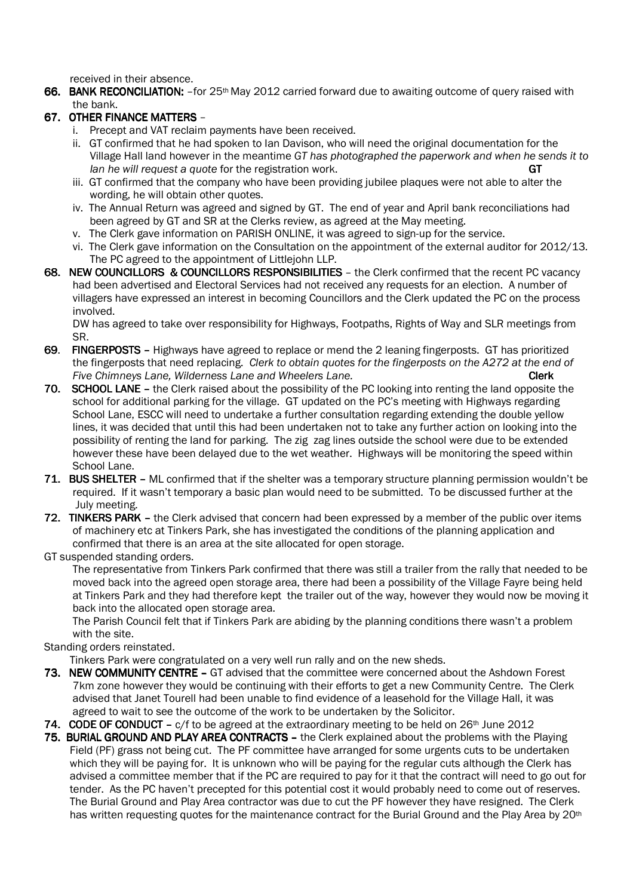received in their absence.

66. BANK RECONCILIATION: -for 25<sup>th</sup> May 2012 carried forward due to awaiting outcome of query raised with the bank.

#### 67. OTHER FINANCE MATTERS –

- i. Precept and VAT reclaim payments have been received.
- ii. GT confirmed that he had spoken to Ian Davison, who will need the original documentation for the Village Hall land however in the meantime *GT has photographed the paperwork and when he sends it to Ian he will request a quote for the registration work.* GT
- iii. GT confirmed that the company who have been providing jubilee plaques were not able to alter the wording, he will obtain other quotes.
- iv. The Annual Return was agreed and signed by GT. The end of year and April bank reconciliations had been agreed by GT and SR at the Clerks review, as agreed at the May meeting.
- v. The Clerk gave information on PARISH ONLINE, it was agreed to sign-up for the service.
- vi. The Clerk gave information on the Consultation on the appointment of the external auditor for 2012/13. The PC agreed to the appointment of Littlejohn LLP.
- 68. NEW COUNCILLORS & COUNCILLORS RESPONSIBILITIES the Clerk confirmed that the recent PC vacancy had been advertised and Electoral Services had not received any requests for an election. A number of villagers have expressed an interest in becoming Councillors and the Clerk updated the PC on the process involved.

 DW has agreed to take over responsibility for Highways, Footpaths, Rights of Way and SLR meetings from SR.

- 69. FINGERPOSTS Highways have agreed to replace or mend the 2 leaning fingerposts. GT has prioritized the fingerposts that need replacing. *Clerk to obtain quotes for the fingerposts on the A272 at the end of Five Chimneys Lane, Wilderness Lane and Wheelers Lane.* **The contract the contract of Clerk Clerk Clerk and Museum Clerk Clerk Clerk and Museum Clerk Clerk Clerk Clerk Clerk and Museum Clerk Clerk Clerk Clerk Clerk Clerk**
- 70. SCHOOL LANE the Clerk raised about the possibility of the PC looking into renting the land opposite the school for additional parking for the village. GT updated on the PC's meeting with Highways regarding School Lane, ESCC will need to undertake a further consultation regarding extending the double yellow lines, it was decided that until this had been undertaken not to take any further action on looking into the possibility of renting the land for parking. The zig zag lines outside the school were due to be extended however these have been delayed due to the wet weather. Highways will be monitoring the speed within School Lane.
- 71. BUS SHELTER ML confirmed that if the shelter was a temporary structure planning permission wouldn't be required. If it wasn't temporary a basic plan would need to be submitted. To be discussed further at the July meeting.
- 72. TINKERS PARK the Clerk advised that concern had been expressed by a member of the public over items of machinery etc at Tinkers Park, she has investigated the conditions of the planning application and confirmed that there is an area at the site allocated for open storage.
- GT suspended standing orders.

 The representative from Tinkers Park confirmed that there was still a trailer from the rally that needed to be moved back into the agreed open storage area, there had been a possibility of the Village Fayre being held at Tinkers Park and they had therefore kept the trailer out of the way, however they would now be moving it back into the allocated open storage area.

 The Parish Council felt that if Tinkers Park are abiding by the planning conditions there wasn't a problem with the site.

Standing orders reinstated.

Tinkers Park were congratulated on a very well run rally and on the new sheds.

- 73. NEW COMMUNITY CENTRE GT advised that the committee were concerned about the Ashdown Forest 7km zone however they would be continuing with their efforts to get a new Community Centre. The Clerk advised that Janet Tourell had been unable to find evidence of a leasehold for the Village Hall, it was agreed to wait to see the outcome of the work to be undertaken by the Solicitor.
- 74. CODE OF CONDUCT  $c/f$  to be agreed at the extraordinary meeting to be held on 26<sup>th</sup> June 2012
- 75. BURIAL GROUND AND PLAY AREA CONTRACTS the Clerk explained about the problems with the Playing Field (PF) grass not being cut. The PF committee have arranged for some urgents cuts to be undertaken which they will be paying for. It is unknown who will be paying for the regular cuts although the Clerk has advised a committee member that if the PC are required to pay for it that the contract will need to go out for tender. As the PC haven't precepted for this potential cost it would probably need to come out of reserves. The Burial Ground and Play Area contractor was due to cut the PF however they have resigned. The Clerk has written requesting quotes for the maintenance contract for the Burial Ground and the Play Area by 20<sup>th</sup>